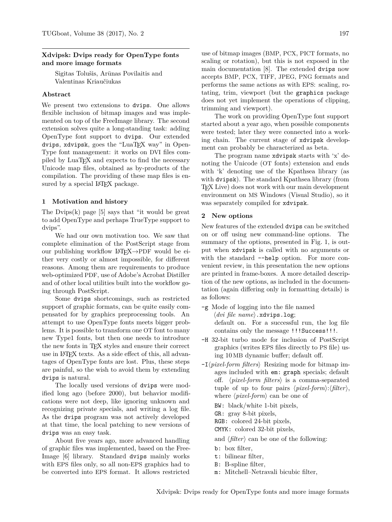# **Xdvipsk: Dvips ready for OpenType fonts and more image formats**

Sigitas Tolušis, Arūnas Povilaitis and Valentinas Kriaučiukas

### **Abstract**

We present two extensions to dvips. One allows flexible inclusion of bitmap images and was implemented on top of the FreeImage library. The second extension solves quite a long-standing task: adding OpenType font support to dvips. Our extended dvips, xdvipsk, goes the "LuaT<sub>EX</sub> way" in Open-Type font management: it works on DVI files compiled by LuaTEX and expects to find the necessary Unicode map files, obtained as by-products of the compilation. The providing of these map files is ensured by a special LAT<sub>F</sub>X package.

#### **1 Motivation and history**

The Dyips $(k)$  page [5] says that "it would be great to add OpenType and perhaps TrueType support to dvips".

We had our own motivation too. We saw that complete elimination of the PostScript stage from our publishing workflow LATEX*→*PDF would be either very costly or almost impossible, for different reasons. Among them are requirements to produce web-optimized PDF, use of Adobe's Acrobat Distiller and of other local utilities built into the workflow going through PostScript.

Some dvips shortcomings, such as restricted support of graphic formats, can be quite easily compensated for by graphics preprocessing tools. An attempt to use OpenType fonts meets bigger problems. It is possible to transform one OT font to many new Type1 fonts, but then one needs to introduce the new fonts in T<sub>E</sub>X styles and ensure their correct use in LATEX texts. As a side effect of this, all advantages of OpenType fonts are lost. Plus, these steps are painful, so the wish to avoid them by extending dvips is natural.

The locally used versions of dvips were modified long ago (before 2000), but behavior modifications were not deep, like ignoring unknown and recognizing private specials, and writing a log file. As the dvips program was not actively developed at that time, the local patching to new versions of dvips was an easy task.

About five years ago, more advanced handling of graphic files was implemented, based on the Free-Image [6] library. Standard dvips mainly works with EPS files only, so all non-EPS graphics had to be converted into EPS format. It allows restricted

use of bitmap images (BMP, PCX, PICT formats, no scaling or rotation), but this is not exposed in the main documentation [8]. The extended dvips now accepts BMP, PCX, TIFF, JPEG, PNG formats and performs the same actions as with EPS: scaling, rotating, trim, viewport (but the graphics package does not yet implement the operations of clipping, trimming and viewport).

The work on providing OpenType font support started about a year ago, when possible components were tested; later they were connected into a working chain. The current stage of xdvipsk development can probably be characterized as beta.

The program name xdvipsk starts with 'x' denoting the Unicode (OT fonts) extension and ends with 'k' denoting use of the Kpathsea library (as with dvipsk). The standard Kpathsea library (from TEX Live) does not work with our main development environment on MS Windows (Visual Studio), so it was separately compiled for xdvipsk.

# **2 New options**

New features of the extended dvips can be switched on or off using new command-line options. The summary of the options, presented in Fig. 1, is output when xdvipsk is called with no arguments or with the standard --help option. For more convenient review, in this presentation the new options are printed in frame-boxes. A more detailed description of the new options, as included in the documentation (again differing only in formatting details) is as follows:

- -g Mode of logging into the file named 〈*dvi file name*〉.xdvips.log; default on. For a successful run, the log file contains only the message !!!Success!!!.
- -H 32-bit turbo mode for inclusion of PostScript graphics (writes EPS files directly to PS file) using 10 MB dynamic buffer; default off.
- -I〈*pixel-form filters*〉 Resizing mode for bitmap images included with em: graph specials; default off. 〈*pixel-form filters*〉 is a comma-separated tuple of up to four pairs 〈*pixel-form*〉:〈*filter*〉, where 〈*pixel-form*〉 can be one of

BW: black/white 1-bit pixels,

GR: gray 8-bit pixels,

RGB: colored 24-bit pixels,

CMYK: colored 32-bit pixels,

and  $\langle filter \rangle$  can be one of the following:

- b: box filter,
- t: bilinear filter,
- B: B-spline filter,
- m: Mitchell–Netravali bicubic filter,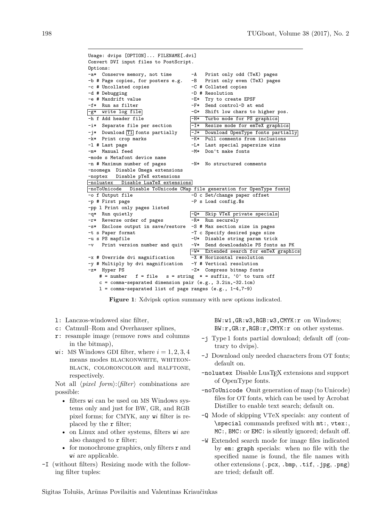Usage: dvips [OPTION]... FILENAME[.dvi] Convert DVI input files to PostScript. Options: -a\* Conserve memory, not time -A Print only odd (TeX) pages<br>-b # Page copies, for posters e.g. -B Print only even (TeX) pages  $-b$  # Page copies, for posters e.g. -c # Uncollated copies -C # Collated copies -d # Debugging  $-D$  # Resolution -e # Maxdrift value -E\* Try to create EPSF -f\* Run as filter  $-$ F\* Send control-D at end<br> $\frac{-g*}{g*}$  write log file  $-$ G\* Shift low chars to him  $-G*$  Shift low chars to higher pos. -h f Add header file  $\overline{H*}$  Turbo mode for PS graphics<br>-i\* Separate file per section  $\overline{-I*}$  Resize mode for emTeX graph  $-i*$  Separate file per section  $\overline{\phantom{a}$ -I\* Resize mode for emTeX graphics -j\* Download T1 fonts partially  $\boxed{-J*}$  Download OpenType fonts partially -k\* Print crop marks -K\* Pull comments from inclusions<br>-1 # Last page -L\* Last special papersize wins -1 # Last page -L\* Last special papersize wins<br>-m\* Manual feed -M\* Don't make fonts  $-M*$  Don't make fonts -mode s Metafont device name -n # Maximum number of pages -N\* No structured comments -noomega Disable Omega extensions -noptex Disable pTeX extensions -noluatex Disable LuaTeX extensions -noToUnicode Disable ToUnicode CMap file generation for OpenType fonts -o f Output file - O c Set/change paper offset -p # First page  $-P$  s Load config.\$s -pp l Print only pages listed -q\* Run quietly  $-\mathbb{Q}^*$  Skip VTeX private specials -r\* Reverse order of pages -R\* Run securely -s\* Enclose output in save/restore -S # Max section size in pages -t s Paper format -T c Specify desired page size<br>-u s PS mapfile -U\* Disable string param tric  $-U*$  Disable string param trick -v Print version number and quit -V\* Send downloadable PS fonts as PK -W\* Extended search for emTeX graphics -x # Override dvi magnification -X # Horizontal resolution -y # Multiply by dvi magnification -Y # Vertical resolution -z\* Hyper PS -Z\* Compress bitmap fonts # = number  $f = file$  s = string  $* = suffix$ , '0' to turn off c = comma-separated dimension pair (e.g., 3.2in,-32.1cm)  $l =$  comma-separated list of page ranges (e.g.,  $1-4$ ,  $7-9$ )

**Figure 1**: Xdvipsk option summary with new options indicated.

- l: Lanczos-windowed sinc filter,
- c: Catmull–Rom and Overhauser splines,
- r: resample image (remove rows and columns in the bitmap),
- w*i*: MS Windows GDI filter, where  $i = 1, 2, 3, 4$ means modes BLACKONWHITE, WHITEONblack, coloroncolor and halftone, respectively.

Not all  $\langle pixel\ form \rangle$ : $\langle filter \rangle$  combinations are possible:

- filters w*i* can be used on MS Windows systems only and just for BW, GR, and RGB pixel forms; for CMYK, any w*i* filter is replaced by the r filter;
- on Linux and other systems, filters w*i* are also changed to r filter;
- for monochrome graphics, only filters  $\mathbf r$  and w*i* are applicable.
- -I (without filters) Resizing mode with the following filter tuples:

BW:w1,GR:w3,RGB:w3,CMYK:r on Windows; BW:r,GR:r,RGB:r,CMYK:r on other systems.

- -j Type 1 fonts partial download; default off (contrary to dvips).
- -J Download only needed characters from OT fonts; default on.
- -noluatex Disable LuaTEX extensions and support of OpenType fonts.
- -noToUnicode Omit generation of map (to Unicode) files for OT fonts, which can be used by Acrobat Distiller to enable text search; default on.
- -Q Mode of skipping VTeX specials: any content of \special commands prefixed with mt:, vtex:, MC:, BMC: or EMC: is silently ignored; default off.
- -W Extended search mode for image files indicated by em: graph specials: when no file with the specified name is found, the file names with other extensions (.pcx, .bmp, .tif, .jpg, .png) are tried; default off.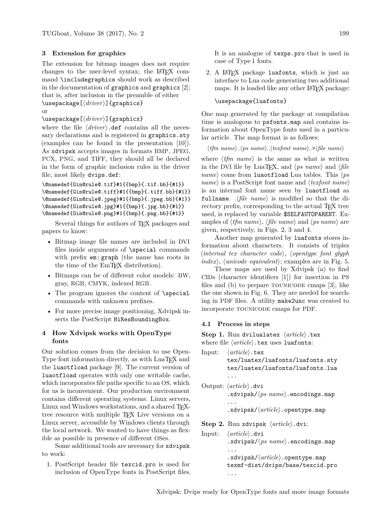# **3 Extension for graphics**

The extension for bitmap images does not require changes to the user-level syntax; the LATEX command \includegraphics should work as described in the documentation of graphics and graphicx [2]; that is, after inclusion in the preamble of either \usepackage[〈*driver*〉]{graphics}

or

# \usepackage[〈*driver*〉]{graphicx}

where the file  $\langle driver \rangle$ .def contains all the necessary declarations and is registered in graphics.sty (examples can be found in the presentation [10]). As xdvipsk accepts images in formats BMP, JPEG, PCX, PNG, and TIFF, they should all be declared in the form of graphic inclusion rules in the driver file, most likely dvips.def:

```
\@namedef{Gin@rule@.tif}#1{{bmp}{.tif.bb}{#1}}
\@namedef{Gin@rule@.tiff}#1{{bmp}{.tiff.bb}{#1}}
\@namedef{Gin@rule@.jpeg}#1{{bmp}{.jpeg.bb}{#1}}
\@namedef{Gin@rule@.jpg}#1{{bmp}{.jpg.bb}{#1}}
\@namedef{Gin@rule@.png}#1{{bmp}{.png.bb}{#1}}
```
Several things for authors of T<sub>EX</sub> packages and papers to know:

- Bitmap image file names are included in DVI files inside arguments of \special commands with prefix em: graph (the name has roots in the time of the EmT<sub>EX</sub> distribution).
- Bitmaps can be of different color models: BW, gray, RGB, CMYK, indexed RGB.
- The program ignores the content of **\special** commands with unknown prefixes.
- For more precise image positioning, Xdvipsk inserts the PostScript HiResBoundingBox.

# **4 How Xdvipsk works with OpenType fonts**

Our solution comes from the decision to use Open-Type font information directly, as with LuaT<sub>EX</sub> and the luaotfload package [9]. The current version of luaotfload operates with only one writable cache, which incorporates file paths specific to an OS, which for us is inconvenient. Our production environment contains different operating systems: Linux servers, Linux and Windows workstations, and a shared TFXtree resource with multiple T<sub>EX</sub> Live versions on a Linux server, accessible by Windows clients through the local network. We wanted to have things as flexible as possible in presence of different OSes.

Some additional tools are necessary for xdvipsk to work:

1. PostScript header file texcid.pro is used for inclusion of OpenType fonts in PostScript files. It is an analogue of texps.pro that is used in case of Type 1 fonts.

2. A LATEX package luafonts, which is just an interface to Lua code generating two additional maps. It is loaded like any other LAT<sub>EX</sub> package:

### \usepackage{luafonts}

One map generated by the package at compilation time is analogous to psfonts.map and contains information about OpenType fonts used in a particular article. The map format is as follows:

〈*tfm name*〉␣〈*ps name*〉␣〈*texfont name*〉␣>〈*file name*〉

where  $\langle t/m \text{ name} \rangle$  is the same as what is written in the DVI file by LuaTEX, and 〈*ps name*〉 and 〈*file name*〉 come from luaotfload Lua tables. This 〈*ps name*〉 is a PostScript font name and 〈*texfont name*〉 is an internal font name seen by luaotfload as fullname. 〈*file name*〉 is modified so that the directory prefix, corresponding to the actual T<sub>EX</sub> tree used, is replaced by variable \$SELFAUTOPARENT. Examples of 〈*tfm name*〉, 〈*file name*〉 and 〈*ps name*〉 are given, respectively, in Figs. 2, 3 and 4.

Another map generated by luafonts stores information about characters. It consists of triples 〈*internal tex character code*〉, 〈*opentype font glyph index*〉, 〈*unicode equivalent*〉; examples are in Fig. 5.

These maps are used by Xdvipsk (a) to find CIDs (character identifiers [1]) for insertion in PS files and  $(b)$  to prepare TOUNICODE cmaps  $[3]$ , like the one shown in Fig. 6. They are needed for searching in PDF files. A utility make2unc was created to incorporate tounicode cmaps for PDF.

#### **4.1 Process in steps**

**Step 1.** Run dvilualatex 〈*article*〉.tex where file 〈*article*〉.tex uses luafonts:

Input: 〈*article*〉.tex tex/luatex/luafonts/luafonts.sty tex/luatex/luafonts/luafonts.lua ... Output: 〈*article*〉.dvi .xdvipsk/〈*ps name*〉.encodings.map ... .xdvipsk/〈*article*〉.opentype.map **Step 2.** Run xdvipsk 〈*article*〉.dvi:

Input: 〈*article*〉.dvi .xdvipsk/〈*ps name*〉.encodings.map ... .xdvipsk/〈*article*〉.opentype.map texmf-dist/dvips/base/texcid.pro

...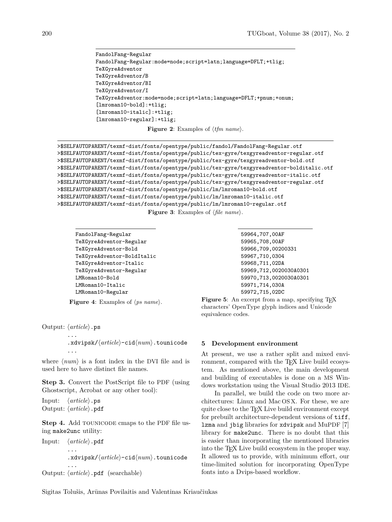```
FandolFang-Regular
FandolFang-Regular:mode=node;script=latn;language=DFLT;+tlig;
TeXGyreAdventor
TeXGyreAdventor/B
TeXGyreAdventor/BI
TeXGyreAdventor/I
TeXGyreAdventor:mode=node;script=latn;language=DFLT;+pnum;+onum;
[lmroman10-bold]:+tlig;
[lmroman10-italic]:+tlig;
[lmroman10-regular]:+tlig;
```
**Figure 2**: Examples of 〈*tfm name*〉.

```
>$SELFAUTOPARENT/texmf-dist/fonts/opentype/public/fandol/FandolFang-Regular.otf
>$SELFAUTOPARENT/texmf-dist/fonts/opentype/public/tex-gyre/texgyreadventor-regular.otf
>$SELFAUTOPARENT/texmf-dist/fonts/opentype/public/tex-gyre/texgyreadventor-bold.otf
>$SELFAUTOPARENT/texmf-dist/fonts/opentype/public/tex-gyre/texgyreadventor-bolditalic.otf
>$SELFAUTOPARENT/texmf-dist/fonts/opentype/public/tex-gyre/texgyreadventor-italic.otf
>$SELFAUTOPARENT/texmf-dist/fonts/opentype/public/tex-gyre/texgyreadventor-regular.otf
>$SELFAUTOPARENT/texmf-dist/fonts/opentype/public/lm/lmroman10-bold.otf
>$SELFAUTOPARENT/texmf-dist/fonts/opentype/public/lm/lmroman10-italic.otf
>$SELFAUTOPARENT/texmf-dist/fonts/opentype/public/lm/lmroman10-regular.otf
                             Figure 3: Examples of 〈file name〉.
```

```
FandolFang-Regular
TeXGyreAdventor-Regular
TeXGyreAdventor-Bold
TeXGyreAdventor-BoldItalic
TeXGyreAdventor-Italic
TeXGyreAdventor-Regular
LMRoman10-Bold
LMRoman10-Italic
LMRoman10-Regular
```
**Figure 4**: Examples of 〈*ps name*〉.

Output: 〈*article*〉.ps ...

> .xdvipsk/〈*article*〉-cid〈*num*〉.tounicode ...

where  $\langle num \rangle$  is a font index in the DVI file and is used here to have distinct file names.

**Step 3.** Convert the PostScript file to PDF (using Ghostscript, Acrobat or any other tool):

Input: 〈*article*〉.ps Output: 〈*article*〉.pdf

**Step 4.** Add TOUNICODE cmaps to the PDF file using make2unc utility:

Input: 〈*article*〉.pdf ... .xdvipsk/〈*article*〉-cid〈*num*〉.tounicode ... Output: 〈*article*〉.pdf (searchable)

```
59964,707,00AF
59965,708,00AF
59966,709,00200331
59967,710,0304
59968,711,02DA
59969,712,0020030A0301
59970,713,0020030A0301
59971,714,030A
59972,715,02DC
```
Figure 5: An excerpt from a map, specifying T<sub>EX</sub> characters' OpenType glyph indices and Unicode equivalence codes.

### **5 Development environment**

At present, we use a rather split and mixed environment, compared with the TEX Live build ecosystem. As mentioned above, the main development and building of executables is done on a MS Windows workstation using the Visual Studio 2013 IDE.

In parallel, we build the code on two more architectures: Linux and Mac OS X. For these, we are quite close to the TEX Live build environment except for prebuilt architecture-dependent versions of tiff, lzma and jbig libraries for xdvipsk and MuPDF [7] library for make2unc. There is no doubt that this is easier than incorporating the mentioned libraries into the T<sub>EX</sub> Live build ecosystem in the proper way. It allowed us to provide, with minimum effort, our time-limited solution for incorporating OpenType fonts into a Dvips-based workflow.

Sigitas Tolušis, Arūnas Povilaitis and Valentinas Kriaučiukas